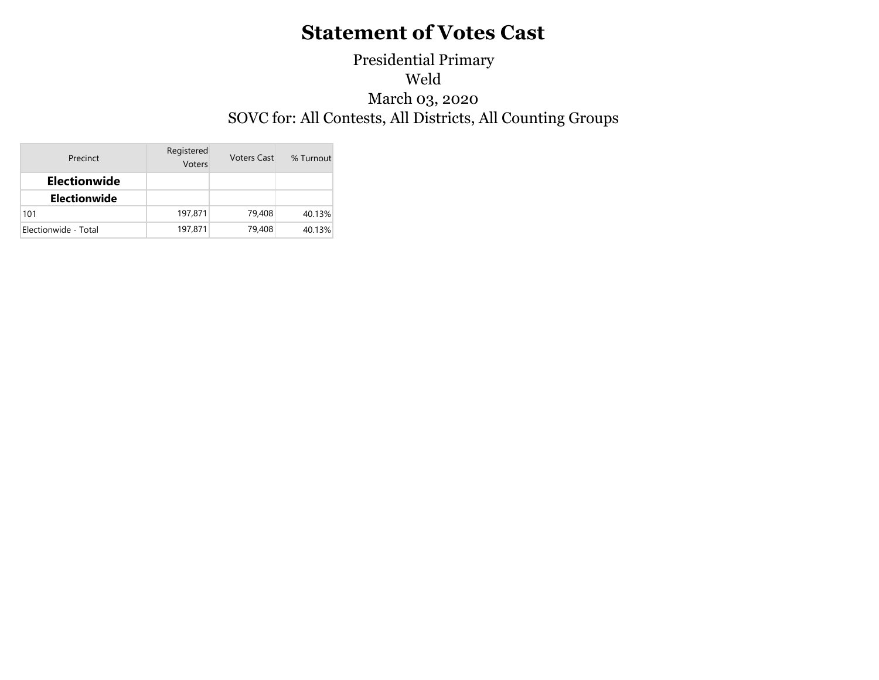### Presidential Primary Weld March 03, 2020 SOVC for: All Contests, All Districts, All Counting Groups

| Precinct             | Registered<br>Voters | <b>Voters Cast</b> |        |
|----------------------|----------------------|--------------------|--------|
| <b>Electionwide</b>  |                      |                    |        |
| <b>Electionwide</b>  |                      |                    |        |
| 101                  | 197,871              | 79,408             | 40.13% |
| Electionwide - Total | 197,871              | 79,408             | 40.13% |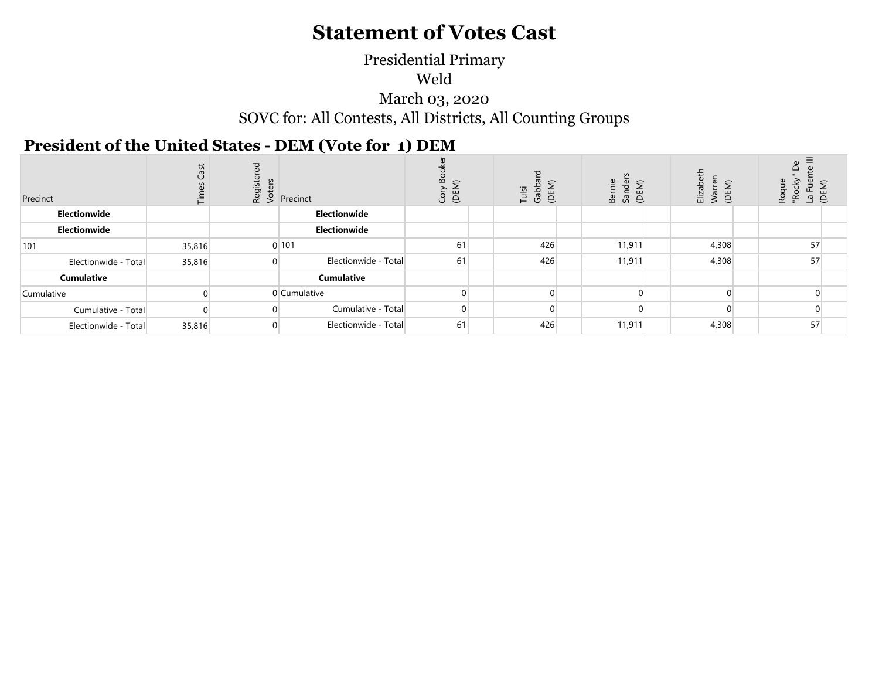#### SOVC for: All Contests, All Districts, All Counting Groups March 03, 2020 Weld Presidential Primary

#### **President of the United States - DEM (Vote for 1) DEM**

| Precinct             | Cas<br>트 | $\frac{5}{2}$ $\frac{5}{2}$ Precinct | $\Omega$<br>Ğ<br>Ü | (DEM)<br>Gabb<br>Tulsi | Bernie<br>Sander<br>(DEM) | (DEM)<br>Elizab<br>War | oque<br>옹<br>(DEM)<br>$\overline{a}$<br>ِم<br>Ro<br>$\alpha$ |  |
|----------------------|----------|--------------------------------------|--------------------|------------------------|---------------------------|------------------------|--------------------------------------------------------------|--|
| Electionwide         |          | Electionwide                         |                    |                        |                           |                        |                                                              |  |
| Electionwide         |          | Electionwide                         |                    |                        |                           |                        |                                                              |  |
| 101                  | 35,816   | 0101                                 | 61                 | 426                    | 11,911                    | 4,308                  | 57                                                           |  |
| Electionwide - Total | 35,816   | Electionwide - Total                 | 61                 | 426                    | 11,911                    | 4,308                  | 57                                                           |  |
| <b>Cumulative</b>    |          | Cumulative                           |                    |                        |                           |                        |                                                              |  |
| Cumulative           |          | 0 Cumulative                         |                    | $\Omega$               | $\Omega$                  | $\Omega$               | $\Omega$                                                     |  |
| Cumulative - Total   |          | Cumulative - Total                   |                    | 0                      | 0                         | $\Omega$               | $\overline{0}$                                               |  |
| Electionwide - Total | 35,816   | Electionwide - Total                 | 61                 | 426                    | 11,911                    | 4,308                  | 57                                                           |  |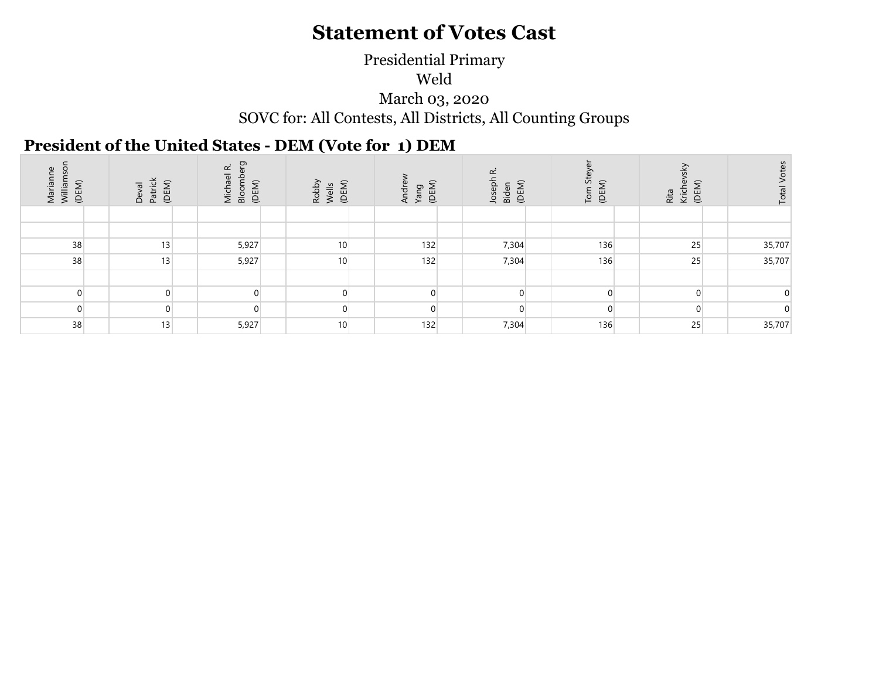#### SOVC for: All Contests, All Districts, All Counting Groups Presidential Primary Weld March 03, 2020

### **President of the United States - DEM (Vote for 1) DEM**

| Marianne<br>Williamsor<br>(DEM) | Patrick<br>(DEM)<br>Deval | ō<br>$\vec{\alpha}$<br>Michael<br>Bloombe<br>(DEM) | (DEM)<br>Robby<br>Wells | Yang<br>(DEM)<br>Andrey | œ<br>Joseph<br>(DEM)<br>Biden | 55<br>(DEM)<br>Tom | (DEM)<br>Kriche<br>Rita | <b>Total Votes</b> |
|---------------------------------|---------------------------|----------------------------------------------------|-------------------------|-------------------------|-------------------------------|--------------------|-------------------------|--------------------|
|                                 |                           |                                                    |                         |                         |                               |                    |                         |                    |
|                                 |                           |                                                    |                         |                         |                               |                    |                         |                    |
| 38                              | 13                        | 5,927                                              | 10 <sup>1</sup>         | 132                     | 7,304                         | 136                | 25                      | 35,707             |
| 38                              | 13                        | 5,927                                              | 10 <sup>1</sup>         | 132                     | 7,304                         | 136                | 25                      | 35,707             |
|                                 |                           |                                                    |                         |                         |                               |                    |                         |                    |
| $\Omega$                        |                           | 0                                                  | 0                       |                         | $\Omega$                      |                    | $\Omega$                |                    |
| $\Omega$                        |                           | $\Omega$                                           | $\Omega$                | U                       | $\Omega$                      | $\Omega$           | $\Omega$                |                    |
| 38                              | 13                        | 5,927                                              | 10                      | 132                     | 7,304                         | 136                | 25                      | 35,707             |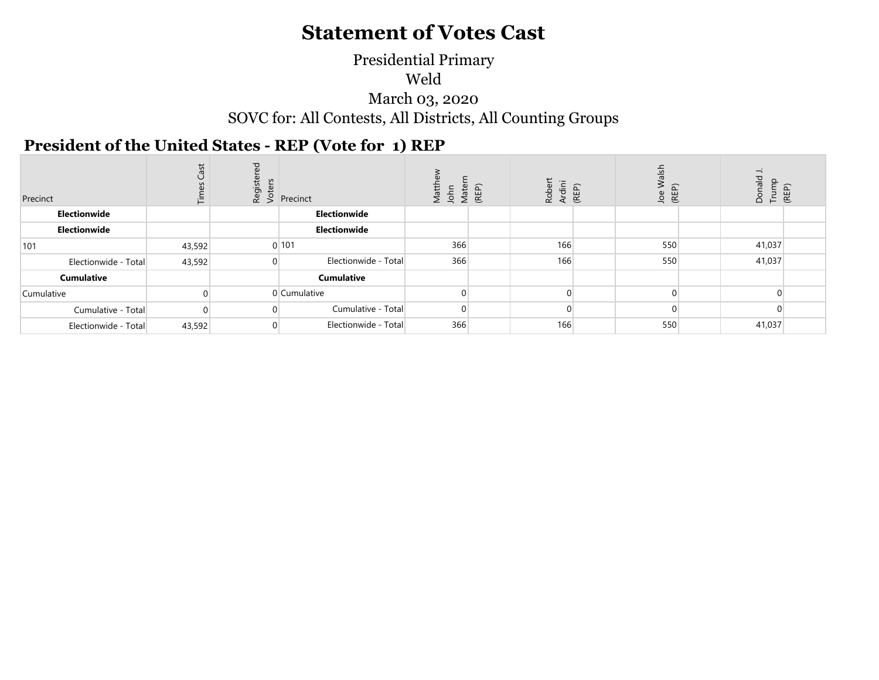### Weld March 03, 2020 SOVC for: All Contests, All Districts, All Counting Groups Presidential Primary

### **President of the United States - REP (Vote for 1) REP**

| Precinct             | Cast<br>İΕ | ਹ<br>Registe<br>Voters | Precinct             | Matt<br>John<br>Mate | (REP) | Robert<br>Ardini | (REP) | alsh<br>≶<br>(REP)<br>Joe | $\overline{\phantom{a}}$<br>Donald<br>Trump<br>(REP) |  |
|----------------------|------------|------------------------|----------------------|----------------------|-------|------------------|-------|---------------------------|------------------------------------------------------|--|
| Electionwide         |            |                        | Electionwide         |                      |       |                  |       |                           |                                                      |  |
| Electionwide         |            |                        | Electionwide         |                      |       |                  |       |                           |                                                      |  |
| 101                  | 43,592     |                        | 0 101                | 366                  |       | 166              |       | 550                       | 41,037                                               |  |
| Electionwide - Total | 43,592     | $\Omega$               | Electionwide - Total | 366                  |       | 166              |       | 550                       | 41,037                                               |  |
| <b>Cumulative</b>    |            |                        | <b>Cumulative</b>    |                      |       |                  |       |                           |                                                      |  |
| Cumulative           |            |                        | 0 Cumulative         |                      |       |                  |       | $\Omega$                  |                                                      |  |
| Cumulative - Total   |            |                        | Cumulative - Total   |                      |       |                  |       |                           |                                                      |  |
| Electionwide - Total | 43,592     | $\Omega$               | Electionwide - Total | 366                  |       | 166              |       | 550                       | 41,037                                               |  |